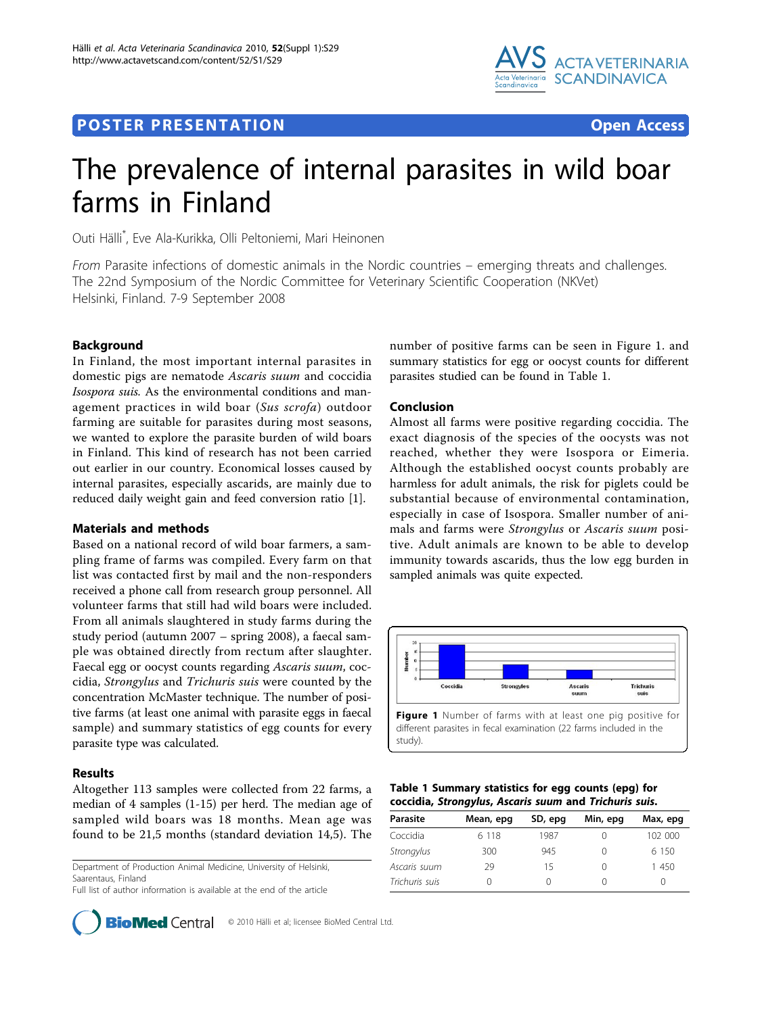## **POSTER PRESENTATION CONSUMING THE SERVICE SERVICE SERVICES**



# The prevalence of internal parasites in wild boar farms in Finland

Outi Hälli\* , Eve Ala-Kurikka, Olli Peltoniemi, Mari Heinonen

From Parasite infections of domestic animals in the Nordic countries – emerging threats and challenges. The 22nd Symposium of the Nordic Committee for Veterinary Scientific Cooperation (NKVet) Helsinki, Finland. 7-9 September 2008

### **Background**

In Finland, the most important internal parasites in domestic pigs are nematode Ascaris suum and coccidia Isospora suis. As the environmental conditions and management practices in wild boar (Sus scrofa) outdoor farming are suitable for parasites during most seasons, we wanted to explore the parasite burden of wild boars in Finland. This kind of research has not been carried out earlier in our country. Economical losses caused by internal parasites, especially ascarids, are mainly due to reduced daily weight gain and feed conversion ratio [[1\]](#page-1-0).

#### Materials and methods

Based on a national record of wild boar farmers, a sampling frame of farms was compiled. Every farm on that list was contacted first by mail and the non-responders received a phone call from research group personnel. All volunteer farms that still had wild boars were included. From all animals slaughtered in study farms during the study period (autumn 2007 – spring 2008), a faecal sample was obtained directly from rectum after slaughter. Faecal egg or oocyst counts regarding Ascaris suum, coccidia, Strongylus and Trichuris suis were counted by the concentration McMaster technique. The number of positive farms (at least one animal with parasite eggs in faecal sample) and summary statistics of egg counts for every parasite type was calculated.

#### Results

Altogether 113 samples were collected from 22 farms, a median of 4 samples (1-15) per herd. The median age of sampled wild boars was 18 months. Mean age was found to be 21,5 months (standard deviation 14,5). The

Department of Production Animal Medicine, University of Helsinki, Saarentaus, Finland

Full list of author information is available at the end of the article

**BioMed** Central © 2010 Hälli et al; licensee BioMed Central Ltd.

number of positive farms can be seen in Figure 1. and summary statistics for egg or oocyst counts for different parasites studied can be found in Table 1.

### Conclusion

Almost all farms were positive regarding coccidia. The exact diagnosis of the species of the oocysts was not reached, whether they were Isospora or Eimeria. Although the established oocyst counts probably are harmless for adult animals, the risk for piglets could be substantial because of environmental contamination, especially in case of Isospora. Smaller number of animals and farms were Strongylus or Ascaris suum positive. Adult animals are known to be able to develop immunity towards ascarids, thus the low egg burden in sampled animals was quite expected.



|  | Table 1 Summary statistics for egg counts (epg) for    |  |  |
|--|--------------------------------------------------------|--|--|
|  | coccidia, Strongylus, Ascaris suum and Trichuris suis. |  |  |
|  | _____                                                  |  |  |

| Parasite       | Mean, epg | SD, epg | Min, epg | Max, epg |
|----------------|-----------|---------|----------|----------|
| Coccidia       | 6 1 1 8   | 1987    |          | 102 000  |
| Strongylus     | 300       | 945     |          | 6 150    |
| Ascaris suum   | 29        | 15      |          | 1450     |
| Trichuris suis |           |         |          |          |